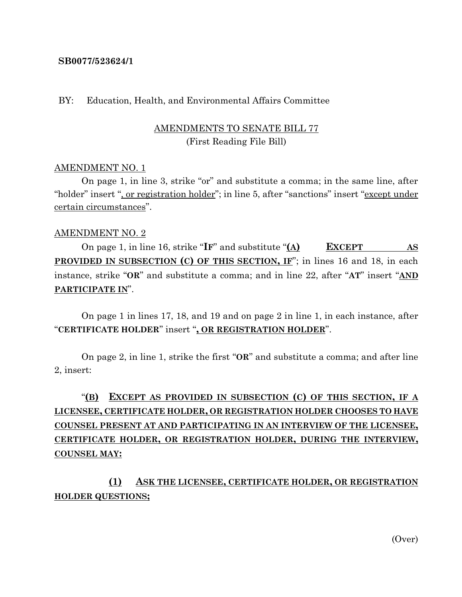#### **SB0077/523624/1**

#### BY: Education, Health, and Environmental Affairs Committee

### AMENDMENTS TO SENATE BILL 77 (First Reading File Bill)

#### AMENDMENT NO. 1

On page 1, in line 3, strike "or" and substitute a comma; in the same line, after "holder" insert ", or registration holder"; in line 5, after "sanctions" insert "except under certain circumstances".

#### AMENDMENT NO. 2

On page 1, in line 16, strike "**IF**" and substitute "**(A) EXCEPT AS PROVIDED IN SUBSECTION (C) OF THIS SECTION, IF**"; in lines 16 and 18, in each instance, strike "**OR**" and substitute a comma; and in line 22, after "**AT**" insert "**AND PARTICIPATE IN**".

On page 1 in lines 17, 18, and 19 and on page 2 in line 1, in each instance, after "**CERTIFICATE HOLDER**" insert "**, OR REGISTRATION HOLDER**".

On page 2, in line 1, strike the first "**OR**" and substitute a comma; and after line 2, insert:

# "**(B) EXCEPT AS PROVIDED IN SUBSECTION (C) OF THIS SECTION, IF A LICENSEE, CERTIFICATE HOLDER, OR REGISTRATION HOLDER CHOOSES TO HAVE COUNSEL PRESENT AT AND PARTICIPATING IN AN INTERVIEW OF THE LICENSEE, CERTIFICATE HOLDER, OR REGISTRATION HOLDER, DURING THE INTERVIEW, COUNSEL MAY:**

**(1) ASK THE LICENSEE, CERTIFICATE HOLDER, OR REGISTRATION HOLDER QUESTIONS;**